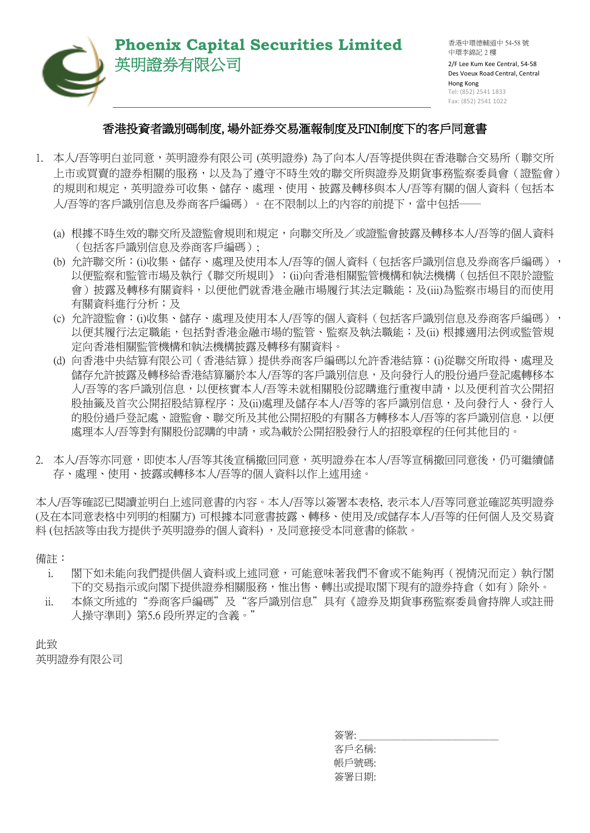

## **Phoenix Capital Securities Limited** 英明證券有限公司

香港中環德輔道中 54-58 號 中環李錦記 2 樓 2/F Lee Kum Kee Central, 54-58 Des Voeux Road Central, Central Hong Kong Tel: (852) 2541 1833 Fax: (852) 2541 1022

## 香港投資者識別碼制度, 場外証券交易滙報制度及FINI制度下的客戶同意書

- 1. 本人/吾等明白並同意,英明證券有限公司 (英明證券) 為了向本人/吾等提供與在香港聯合交易所(聯交所 上市或買賣的證券相關的服務,以及為了遵守不時生效的聯交所與證券及期貨事務監察委員會(證監會) 的規則和規定,英明證券可收集、儲存、處理、使用、披露及轉移與本人/吾等有關的個人資料(包括本 人/吾等的客戶識別信息及券商客戶編碼)。在不限制以上的內容的前提下,當中包括――
	- (a) 根據不時生效的聯交所及證監會規則和規定,向聯交所及/或證監會披露及轉移本人/吾等的個人資料 (包括客戶識別信息及券商客戶編碼);
	- (b) 允許聯交所:(i)收集、儲存、處理及使用本人/吾等的個人資料(包括客戶識別信息及券商客戶編碼), 以便監察和監管市場及執行《聯交所規則》;(ii)向香港相關監管機構和執法機構(包括但不限於證監 會)披露及轉移有關資料,以便他們就香港金融市場履行其法定職能;及(iii)為監察市場目的而使用 有關資料進行分析;及
	- (c) 允許證監會:(i)收集、儲存、處理及使用本人/吾等的個人資料(包括客戶識別信息及券商客戶編碼), 以便其履行法定職能,包括對香港金融市場的監管、監察及執法職能;及(ii) 根據適用法例或監管規 定向香港相關監管機構和執法機構披露及轉移有關資料。
	- (d) 向香港中央結算有限公司(香港結算)提供券商客戶編碼以允許香港結算:(i)從聯交所取得、處理及 儲存允許披露及轉移給香港結算屬於本人/吾等的客戶識別信息,及向發行人的股份過戶登記處轉移本 人/吾等的客戶識別信息,以便核實本人/吾等未就相關股份認購進行重複申請,以及便利首次公開招 股抽籤及首次公開招股結算程序;及(ii)處理及儲存本人/吾等的客戶識別信息,及向發行人、發行人 的股份過戶登記處、證監會、聯交所及其他公開招股的有關各方轉移本人/吾等的客戶識別信息,以便 處理本人/吾等對有關股份認購的申請,或為載於公開招股發行人的招股章程的任何其他目的。
- 2. 本人/吾等亦同意,即使本人/吾等其後宣稱撤回同意,英明證券在本人/吾等宣稱撤回同意後,仍可繼續儲 存、處理、使用、披露或轉移本人/吾等的個人資料以作上述用途。

本人/吾等確認已閱讀並明白上述同意書的內容。本人/吾等以簽署本表格, 表示本人/吾等同意並確認英明證券 (及在本同意表格中列明的相關方) 可根據本同意書披露、轉移、使用及/或儲存本人/吾等的任何個人及交易資 料 (包括該等由我方提供予英明證券的個人資料) ,及同意接受本同意書的條款。

備註:

- i. 閣下如未能向我們提供個人資料或上述同意,可能意味著我們不會或不能夠再(視情況而定)執行閣 下的交易指示或向閣下提供證券相關服務,惟出售、轉出或提取閣下現有的證券持倉(如有)除外。
- ii. 本條文所述的"券商客戶編碼"及"客戶識別信息"具有《證券及期貨事務監察委員會持牌人或註冊 人操守準則》第5.6 段所界定的含義。"

此致

英明證券有限公司

簽署: 客戶名稱: 帳戶號碼: 簽署日期: